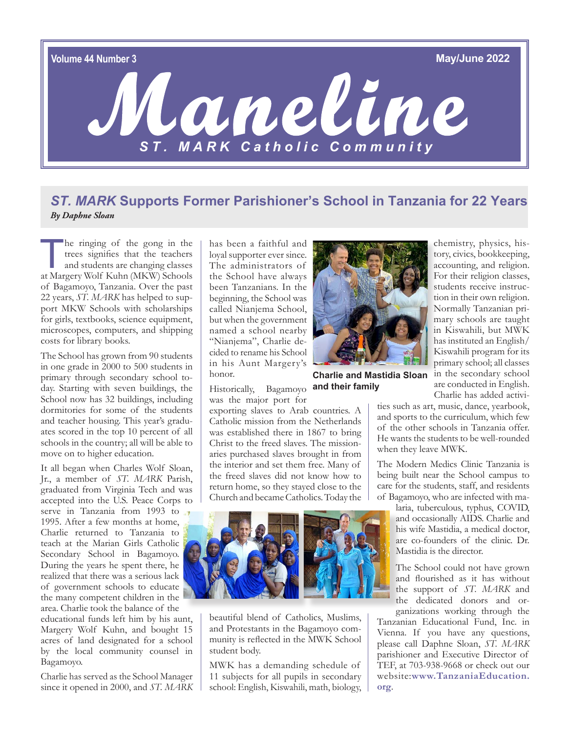

## *ST. MARK* **Supports Former Parishioner's School in Tanzania for 22 Years** *By Daphne Sloan*

he ringing of the gong in the trees signifies that the teachers and students are changing classes at Margery Wolf Kuhn (MKW) Schools of Bagamoyo, Tanzania. Over the past 22 years, *ST. MARK* has helped to support MKW Schools with scholarships for girls, textbooks, science equipment, microscopes, computers, and shipping costs for library books.

The School has grown from 90 students in one grade in 2000 to 500 students in primary through secondary school today. Starting with seven buildings, the School now has 32 buildings, including dormitories for some of the students and teacher housing. This year's graduates scored in the top 10 percent of all schools in the country; all will be able to move on to higher education.

It all began when Charles Wolf Sloan, Jr., a member of *ST. MARK* Parish, graduated from Virginia Tech and was accepted into the U.S. Peace Corps to serve in Tanzania from 1993 to 1995. After a few months at home, Charlie returned to Tanzania to teach at the Marian Girls Catholic Secondary School in Bagamoyo. During the years he spent there, he realized that there was a serious lack of government schools to educate the many competent children in the area. Charlie took the balance of the

educational funds left him by his aunt, Margery Wolf Kuhn, and bought 15 acres of land designated for a school by the local community counsel in Bagamoyo.

Charlie has served as the School Manager since it opened in 2000, and *ST. MARK* has been a faithful and loyal supporter ever since. The administrators of the School have always been Tanzanians. In the beginning, the School was called Nianjema School, but when the government named a school nearby "Nianjema", Charlie decided to rename his School in his Aunt Margery's honor.

Historically, Bagamoyo **and their familyCharlie and Mastidia Sloan** 

was the major port for

exporting slaves to Arab countries. A Catholic mission from the Netherlands was established there in 1867 to bring ties such as art, music, dance, yearbook, and sports to the curriculum, which few of the other schools in Tanzania offer.

when they leave MWK.

The Modern Medics Clinic Tanzania is being built near the School campus to care for the students, staff, and residents of Bagamoyo, who are infected with ma-

He wants the students to be well-rounded

laria, tuberculous, typhus, COVID, and occasionally AIDS. Charlie and his wife Mastidia, a medical doctor, are co-founders of the clinic. Dr. Mastidia is the director.

The School could not have grown and flourished as it has without the support of *ST. MARK* and the dedicated donors and or-

ganizations working through the Tanzanian Educational Fund, Inc. in Vienna. If you have any questions, please call Daphne Sloan, *ST. MARK*  parishioner and Executive Director of TEF, at 703-938-9668 or check out our website:**[www.TanzaniaEducation.](http://www.TanzaniaEducation.org) [org](http://www.TanzaniaEducation.org)**.



Christ to the freed slaves. The missionaries purchased slaves brought in from

beautiful blend of Catholics, Muslims, and Protestants in the Bagamoyo community is reflected in the MWK School student body.

MWK has a demanding schedule of 11 subjects for all pupils in secondary school: English, Kiswahili, math, biology,

tory, civics, bookkeeping, accounting, and religion. For their religion classes, students receive instruction in their own religion. Normally Tanzanian primary schools are taught in Kiswahili, but MWK has instituted an English/ Kiswahili program for its primary school; all classes in the secondary school are conducted in English. Charlie has added activi-

chemistry, physics, his-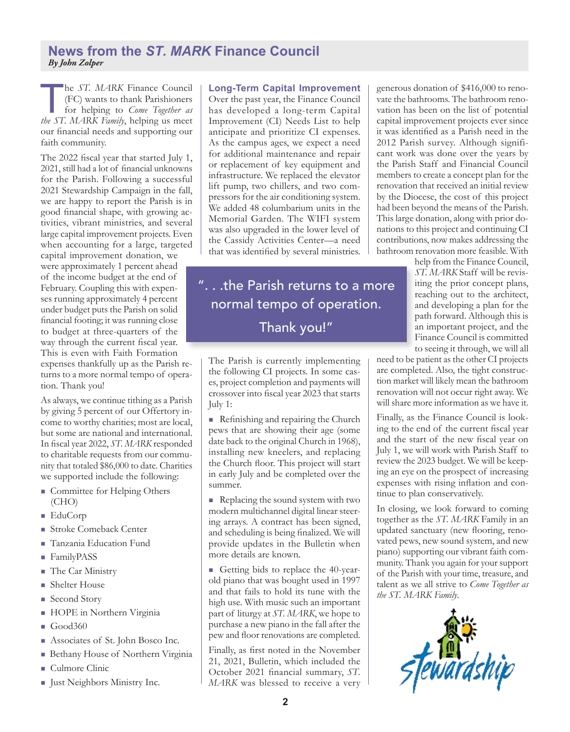#### **News from the** *ST. MARK* **Finance Council**  *By John Zolper*

he *ST. MARK* Finance Council (FC) wants to thank Parishioners for helping to *Come Together as the ST. MARK Family*, helping us meet our financial needs and supporting our faith community.

The 2022 fiscal year that started July 1, 2021, still had a lot of financial unknowns for the Parish. Following a successful 2021 Stewardship Campaign in the fall, we are happy to report the Parish is in good financial shape, with growing activities, vibrant ministries, and several large capital improvement projects. Even when accounting for a large, targeted

capital improvement donation, we were approximately 1 percent ahead of the income budget at the end of February. Coupling this with expenses running approximately 4 percent under budget puts the Parish on solid financial footing; it was running close to budget at three-quarters of the way through the current fiscal year. This is even with Faith Formation expenses thankfully up as the Parish returns to a more normal tempo of operation. Thank you!

As always, we continue tithing as a Parish by giving 5 percent of our Offertory income to worthy charities; most are local, but some are national and international. In fiscal year 2022, *ST. MARK* responded to charitable requests from our community that totaled \$86,000 to date. Charities we supported include the following:

- **n** Committee for Helping Others (CHO)
- <sup>n</sup> EduCorp
- Stroke Comeback Center
- **n** Tanzania Education Fund
- FamilyPASS
- The Car Ministry
- $\blacksquare$  Shelter House
- Second Story
- <sup>n</sup> HOPE in Northern Virginia
- $\Box$  Good360
- **n** Associates of St. John Bosco Inc.
- **n** Bethany House of Northern Virginia
- $\blacksquare$  Culmore Clinic
- **n** Just Neighbors Ministry Inc.

**Long-Term Capital Improvement** Over the past year, the Finance Council has developed a long-term Capital Improvement (CI) Needs List to help anticipate and prioritize CI expenses. As the campus ages, we expect a need for additional maintenance and repair or replacement of key equipment and infrastructure. We replaced the elevator lift pump, two chillers, and two compressors for the air conditioning system. We added 48 columbarium units in the Memorial Garden. The WIFI system was also upgraded in the lower level of the Cassidy Activities Center—a need that was identified by several ministries.

". . .the Parish returns to a more normal tempo of operation. Thank you!"

The Parish is currently implementing the following CI projects. In some cases, project completion and payments will crossover into fiscal year 2023 that starts July 1:

 $\blacksquare$  Refinishing and repairing the Church pews that are showing their age (some date back to the original Church in 1968), installing new kneelers, and replacing the Church floor. This project will start in early July and be completed over the summer.

 $\blacksquare$  Replacing the sound system with two modern multichannel digital linear steering arrays. A contract has been signed, and scheduling is being finalized. We will provide updates in the Bulletin when more details are known.

n Getting bids to replace the 40-yearold piano that was bought used in 1997 and that fails to hold its tune with the high use. With music such an important part of liturgy at *ST. MARK*, we hope to purchase a new piano in the fall after the pew and floor renovations are completed.

Finally, as first noted in the November 21, 2021, Bulletin, which included the October 2021 financial summary, *ST. MARK* was blessed to receive a very generous donation of \$416,000 to renovate the bathrooms. The bathroom renovation has been on the list of potential capital improvement projects ever since it was identified as a Parish need in the 2012 Parish survey. Although significant work was done over the years by the Parish Staff and Financial Council members to create a concept plan for the renovation that received an initial review by the Diocese, the cost of this project had been beyond the means of the Parish. This large donation, along with prior donations to this project and continuing CI contributions, now makes addressing the bathroom renovation more feasible. With

help from the Finance Council, *ST. MARK* Staff will be revisiting the prior concept plans, reaching out to the architect, and developing a plan for the path forward. Although this is an important project, and the Finance Council is committed to seeing it through, we will all

need to be patient as the other CI projects are completed. Also, the tight construction market will likely mean the bathroom renovation will not occur right away. We will share more information as we have it.

Finally, as the Finance Council is looking to the end of the current fiscal year and the start of the new fiscal year on July 1, we will work with Parish Staff to review the 2023 budget. We will be keeping an eye on the prospect of increasing expenses with rising inflation and continue to plan conservatively.

In closing, we look forward to coming together as the *ST. MARK* Family in an updated sanctuary (new flooring, renovated pews, new sound system, and new piano) supporting our vibrant faith community. Thank you again for your support of the Parish with your time, treasure, and talent as we all strive to *Come Together as the ST. MARK Family*.

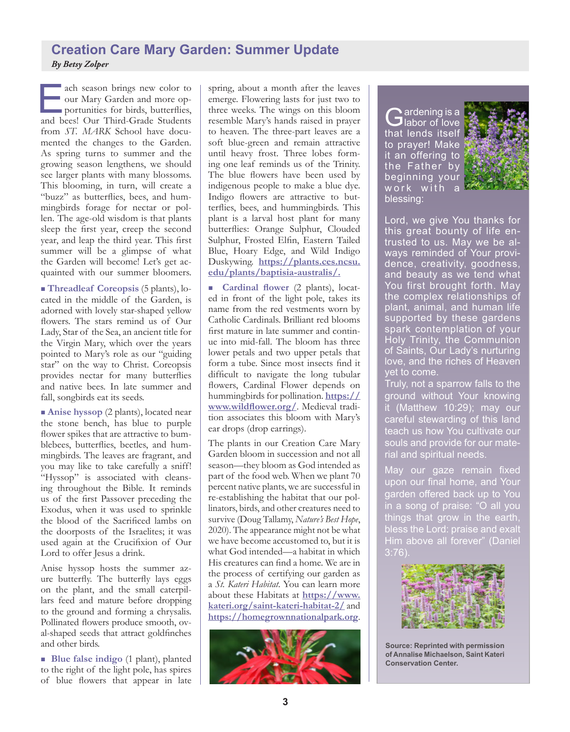### **Creation Care Mary Garden: Summer Update** *By Betsy Zolper*

ach season brings new color to<br>
our Mary Garden and more op-<br>
portunities for birds, butterflies,<br>
and bees! Our Third-Grade Students our Mary Garden and more opportunities for birds, butterflies, and bees! Our Third-Grade Students from *ST. MARK* School have documented the changes to the Garden. As spring turns to summer and the growing season lengthens, we should see larger plants with many blossoms. This blooming, in turn, will create a "buzz" as butterflies, bees, and hummingbirds forage for nectar or pollen. The age-old wisdom is that plants sleep the first year, creep the second year, and leap the third year. This first summer will be a glimpse of what the Garden will become! Let's get acquainted with our summer bloomers.

<sup>n</sup> **Threadleaf Coreopsis** (5 plants), located in the middle of the Garden, is adorned with lovely star-shaped yellow flowers. The stars remind us of Our Lady, Star of the Sea, an ancient title for the Virgin Mary, which over the years pointed to Mary's role as our "guiding star" on the way to Christ. Coreopsis provides nectar for many butterflies and native bees. In late summer and fall, songbirds eat its seeds.

■ **Anise hyssop** (2 plants), located near the stone bench, has blue to purple flower spikes that are attractive to bumblebees, butterflies, beetles, and hummingbirds. The leaves are fragrant, and you may like to take carefully a sniff! "Hyssop" is associated with cleansing throughout the Bible. It reminds us of the first Passover preceding the Exodus, when it was used to sprinkle the blood of the Sacrificed lambs on the doorposts of the Israelites; it was used again at the Crucifixion of Our Lord to offer Jesus a drink.

Anise hyssop hosts the summer azure butterfly. The butterfly lays eggs on the plant, and the small caterpillars feed and mature before dropping to the ground and forming a chrysalis. Pollinated flowers produce smooth, oval-shaped seeds that attract goldfinches and other birds.

<sup>n</sup> **Blue false indigo** (1 plant), planted to the right of the light pole, has spires of blue flowers that appear in late

spring, about a month after the leaves emerge. Flowering lasts for just two to three weeks. The wings on this bloom resemble Mary's hands raised in prayer to heaven. The three-part leaves are a soft blue-green and remain attractive until heavy frost. Three lobes forming one leaf reminds us of the Trinity. The blue flowers have been used by indigenous people to make a blue dye. Indigo flowers are attractive to butterflies, bees, and hummingbirds. This plant is a larval host plant for many butterflies: Orange Sulphur, Clouded Sulphur, Frosted Elfin, Eastern Tailed Blue, Hoary Edge, and Wild Indigo Duskywing. **[https://plants.ces.ncsu.](https://plants.ces.ncsu.edu/plants/baptisia-australis/) [edu/plants/baptisia-australis/](https://plants.ces.ncsu.edu/plants/baptisia-australis/).**

n **Cardinal flower** (2 plants), located in front of the light pole, takes its name from the red vestments worn by Catholic Cardinals. Brilliant red blooms first mature in late summer and continue into mid-fall. The bloom has three lower petals and two upper petals that form a tube. Since most insects find it difficult to navigate the long tubular flowers, Cardinal Flower depends on hummingbirds for pollination. **[https://](https://www.wildflower.org/) [www.wildflower.org/](https://www.wildflower.org/)**. Medieval tradition associates this bloom with Mary's ear drops (drop earrings).

The plants in our Creation Care Mary Garden bloom in succession and not all season—they bloom as God intended as part of the food web. When we plant 70 percent native plants, we are successful in re-establishing the habitat that our pollinators, birds, and other creatures need to survive (Doug Tallamy, *Nature's Best Hope*, 2020). The appearance might not be what we have become accustomed to, but it is what God intended—a habitat in which His creatures can find a home. We are in the process of certifying our garden as a *St. Kateri Habitat*. You can learn more about these Habitats at **[https://www.](https://www.kateri.org/saint-kateri-habitat-2/) [kateri.org/saint-kateri-habitat-2/](https://www.kateri.org/saint-kateri-habitat-2/)** and **<https://homegrownnationalpark.org>**.



Gardening is a<br>
Habor of love that lends itself to prayer! Make it an offering to the Father by beginning your work with a blessing:



Lord, we give You thanks for this great bounty of life entrusted to us. May we be always reminded of Your providence, creativity, goodness, and beauty as we tend what You first brought forth. May the complex relationships of plant, animal, and human life supported by these gardens spark contemplation of your Holy Trinity, the Communion of Saints, Our Lady's nurturing love, and the riches of Heaven yet to come.

Truly, not a sparrow falls to the ground without Your knowing it (Matthew 10:29); may our careful stewarding of this land teach us how You cultivate our souls and provide for our material and spiritual needs.

May our gaze remain fixed upon our final home, and Your garden offered back up to You in a song of praise: "O all you things that grow in the earth, bless the Lord: praise and exalt Him above all forever" (Daniel  $3:76$ ).



**Source: Reprinted with permission of Annalise Michaelson, Saint Kateri Conservation Center.**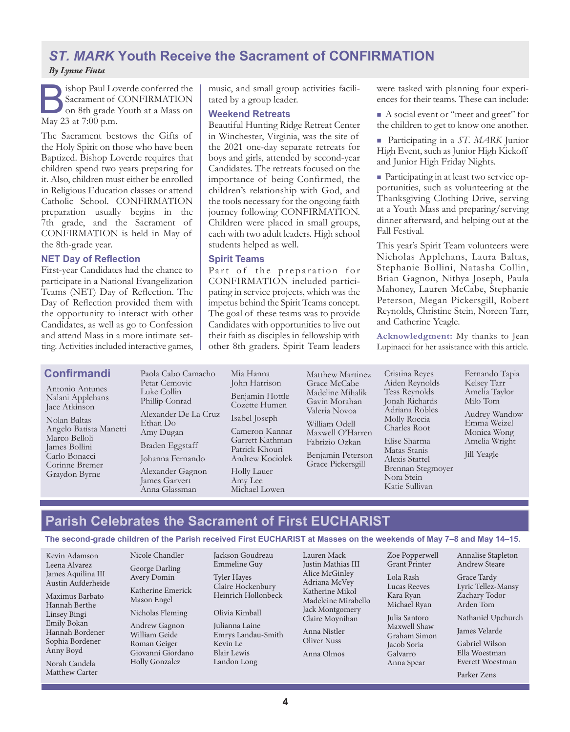### *ST. MARK* **Youth Receive the Sacrament of CONFIRMATION** *By Lynne Finta*

Sacrament of CONFIRMATION<br>Sacrament of CONFIRMATION<br>on 8th grade Youth at a Mass on<br>May 23 at 7:00 p.m Sacrament of CONFIRMATION on 8th grade Youth at a Mass on May 23 at 7:00 p.m.

The Sacrament bestows the Gifts of the Holy Spirit on those who have been Baptized. Bishop Loverde requires that children spend two years preparing for it. Also, children must either be enrolled in Religious Education classes or attend Catholic School. CONFIRMATION preparation usually begins in the 7th grade, and the Sacrament of CONFIRMATION is held in May of the 8th-grade year.

#### **NET Day of Reflection**

First-year Candidates had the chance to participate in a National Evangelization Teams (NET) Day of Reflection. The Day of Reflection provided them with the opportunity to interact with other Candidates, as well as go to Confession and attend Mass in a more intimate setting. Activities included interactive games, music, and small group activities facilitated by a group leader.

#### **Weekend Retreats**

Beautiful Hunting Ridge Retreat Center in Winchester, Virginia, was the site of the 2021 one-day separate retreats for boys and girls, attended by second-year Candidates. The retreats focused on the importance of being Confirmed, the children's relationship with God, and the tools necessary for the ongoing faith journey following CONFIRMATION. Children were placed in small groups, each with two adult leaders. High school students helped as well.

#### **Spirit Teams**

Part of the preparation for CONFIRMATION included participating in service projects, which was the impetus behind the Spirit Teams concept. The goal of these teams was to provide Candidates with opportunities to live out their faith as disciples in fellowship with other 8th graders. Spirit Team leaders were tasked with planning four experiences for their teams. These can include:

<sup>n</sup> A social event or "meet and greet" for the children to get to know one another.

<sup>n</sup> Participating in a *ST. MARK* Junior High Event, such as Junior High Kickoff and Junior High Friday Nights.

n Participating in at least two service opportunities, such as volunteering at the Thanksgiving Clothing Drive, serving at a Youth Mass and preparing/serving dinner afterward, and helping out at the Fall Festival.

This year's Spirit Team volunteers were Nicholas Applehans, Laura Baltas, Stephanie Bollini, Natasha Collin, Brian Gagnon, Nithya Joseph, Paula Mahoney, Lauren McCabe, Stephanie Peterson, Megan Pickersgill, Robert Reynolds, Christine Stein, Noreen Tarr, and Catherine Yeagle.

**Acknowledgment:** My thanks to Jean Lupinacci for her assistance with this article.

Antonio Antunes Nalani Applehans Jace Atkinson

**Confirmandi**

Nolan Baltas Angelo Batista Manetti Marco Belloli James Bollini Carlo Bonacci Corinne Bremer Graydon Byrne

Paola Cabo Camacho Petar Cemovic Luke Collin Phillip Conrad Alexander De La Cruz Ethan Do Amy Dugan Braden Eggstaff Johanna Fernando Alexander Gagnon James Garvert Anna Glassman

John Harrison Benjamin Hottle Cozette Humen Isabel Joseph Cameron Kannar Garrett Kathman Patrick Khouri Andrew Kociolek Holly Lauer Amy Lee Michael Lowen

Mia Hanna

Matthew Martinez Grace McCabe Madeline Mihalik Gavin Morahan Valeria Novoa William Odell Maxwell O'Harren Fabrizio Ozkan Benjamin Peterson

Grace Pickersgill

Aiden Reynolds Tess Reynolds Jonah Richards Adriana Robles Molly Roccia Charles Root Elise Sharma Matas Stanis Alexis Stattel Brennan Stegmoyer Nora Stein Katie Sullivan

Cristina Reyes

Fernando Tapia Kelsey Tarr Amelia Taylor Milo Tom Audrey Wandow Emma Weizel Monica Wong Amelia Wright Jill Yeagle

# **Parish Celebrates the Sacrament of First EUCHARIST**

**The second-grade children of the Parish received First EUCHARIST at Masses on the weekends of May 7–8 and May 14–15.**

Kevin Adamson Leena Alvarez James Aquilina III Austin Aufderheide

Maximus Barbato Hannah Berthe Linsey Bingi Emily Bokan Hannah Bordener Sophia Bordener Anny Boyd

Norah Candela Matthew Carter Nicole Chandler George Darling Avery Domin

Katherine Emerick Mason Engel

Nicholas Fleming Andrew Gagnon William Geide Roman Geiger Giovanni Giordano Holly Gonzalez

Jackson Goudreau Emmeline Guy

Tyler Hayes Claire Hockenbury Heinrich Hollonbeck

Olivia Kimball

Julianna Laine Emrys Landau-Smith Kevin Le Blair Lewis Landon Long

Lauren Mack Justin Mathias III Alice McGinley Adriana McVey Katherine Mikol Madeleine Mirabello Jack Montgomery Claire Moynihan Anna Nistler

Oliver Nuss

Anna Olmos

Zoe Popperwell Grant Printer

Lola Rash Lucas Reeves Kara Ryan Michael Ryan

Julia Santoro Maxwell Shaw Graham Simon Jacob Soria Galvarro Anna Spear

Annalise Stapleton Andrew Steare

Grace Tardy Lyric Tellez-Mansy Zachary Todor Arden Tom

Nathaniel Upchurch

James Velarde

Gabriel Wilson Ella Woestman Everett Woestman

Parker Zens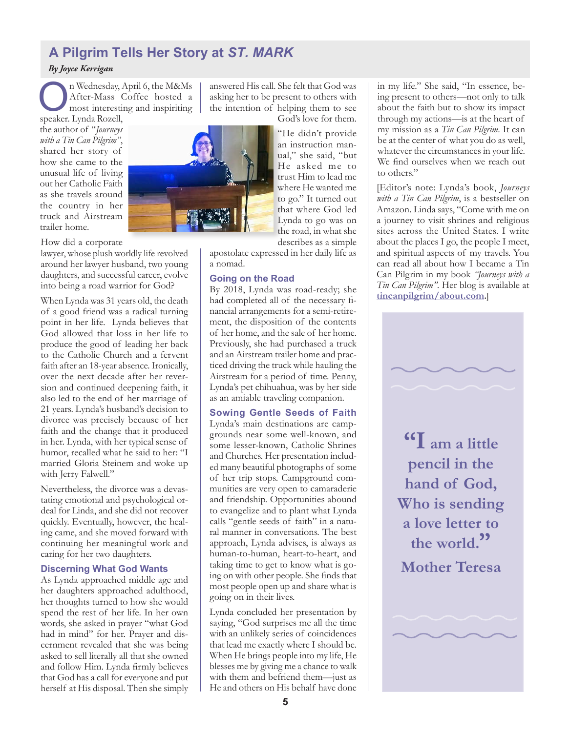# **A Pilgrim Tells Her Story at** *ST. MARK*

#### *By Joyce Kerrigan*

n Wednesday, April 6, the M&Ms After-Mass Coffee hosted a most interesting and inspiriting speaker. Lynda Rozell,

the author of "*Journeys with a Tin Can Pilgrim"*, shared her story of how she came to the unusual life of living out her Catholic Faith as she travels around the country in her truck and Airstream trailer home.

How did a corporate

lawyer, whose plush worldly life revolved around her lawyer husband, two young daughters, and successful career, evolve into being a road warrior for God?

When Lynda was 31 years old, the death of a good friend was a radical turning point in her life. Lynda believes that God allowed that loss in her life to produce the good of leading her back to the Catholic Church and a fervent faith after an 18-year absence. Ironically, over the next decade after her reversion and continued deepening faith, it also led to the end of her marriage of 21 years. Lynda's husband's decision to divorce was precisely because of her faith and the change that it produced in her. Lynda, with her typical sense of humor, recalled what he said to her: "I married Gloria Steinem and woke up with Jerry Falwell."

Nevertheless, the divorce was a devastating emotional and psychological ordeal for Linda, and she did not recover quickly. Eventually, however, the healing came, and she moved forward with continuing her meaningful work and caring for her two daughters.

#### **Discerning What God Wants**

As Lynda approached middle age and her daughters approached adulthood, her thoughts turned to how she would spend the rest of her life. In her own words, she asked in prayer "what God had in mind" for her. Prayer and discernment revealed that she was being asked to sell literally all that she owned and follow Him. Lynda firmly believes that God has a call for everyone and put herself at His disposal. Then she simply answered His call. She felt that God was asking her to be present to others with the intention of helping them to see

God's love for them.

"He didn't provide an instruction manual," she said, "but He asked me to trust Him to lead me where He wanted me to go." It turned out that where God led Lynda to go was on the road, in what she describes as a simple

apostolate expressed in her daily life as a nomad.

#### **Going on the Road**

By 2018, Lynda was road-ready; she had completed all of the necessary financial arrangements for a semi-retirement, the disposition of the contents of her home, and the sale of her home. Previously, she had purchased a truck and an Airstream trailer home and practiced driving the truck while hauling the Airstream for a period of time. Penny, Lynda's pet chihuahua, was by her side as an amiable traveling companion.

#### **Sowing Gentle Seeds of Faith**

Lynda's main destinations are campgrounds near some well-known, and some lesser-known, Catholic Shrines and Churches. Her presentation included many beautiful photographs of some of her trip stops. Campground communities are very open to camaraderie and friendship. Opportunities abound to evangelize and to plant what Lynda calls "gentle seeds of faith" in a natural manner in conversations. The best approach, Lynda advises, is always as human-to-human, heart-to-heart, and taking time to get to know what is going on with other people. She finds that most people open up and share what is going on in their lives.

Lynda concluded her presentation by saying, "God surprises me all the time with an unlikely series of coincidences that lead me exactly where I should be. When He brings people into my life, He blesses me by giving me a chance to walk with them and befriend them—just as He and others on His behalf have done

in my life." She said, "In essence, being present to others—not only to talk about the faith but to show its impact through my actions—is at the heart of my mission as a *Tin Can Pilgrim*. It can be at the center of what you do as well, whatever the circumstances in your life. We find ourselves when we reach out to others."

[Editor's note: Lynda's book, *Journeys with a Tin Can Pilgrim*, is a bestseller on Amazon. Linda says, "Come with me on a journey to visit shrines and religious sites across the United States. I write about the places I go, the people I meet, and spiritual aspects of my travels. You can read all about how I became a Tin Can Pilgrim in my book *"Journeys with a Tin Can Pilgrim"*. Her blog is available at **<tincanpilgrim/about.com>.**]



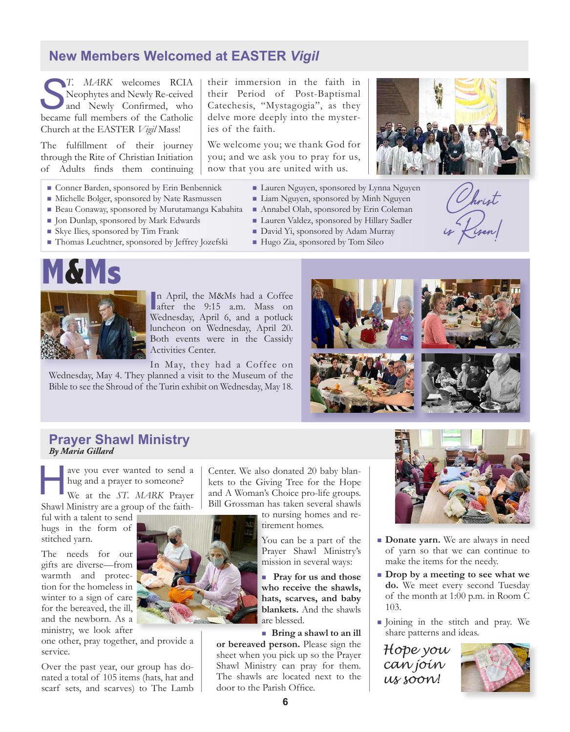### **New Members Welcomed at EASTER** *Vigil*

*S*<sup>*T. MARK* welcomes RCIA<br>**Neophytes and Newly Re-ceived**<br>and Newly Confirmed, who</sup> Neophytes and Newly Re-ceived and Newly Confirmed, who became full members of the Catholic Church at the EASTER *Vigil* Mass!

The fulfillment of their journey through the Rite of Christian Initiation of Adults finds them continuing

- <sup>n</sup> Conner Barden, sponsored by Erin Benbennick
- <sup>n</sup> Michelle Bolger, sponsored by Nate Rasmussen
- Beau Conaway, sponsored by Murutamanga Kabahita
- <sup>n</sup> Jon Dunlap, sponsored by Mark Edwards
- <sup>n</sup> Skye Ilies, sponsored by Tim Frank
	-
- Thomas Leuchtner, sponsored by Jeffrey Jozefski

their immersion in the faith in their Period of Post-Baptismal Catechesis, "Mystagogia", as they delve more deeply into the mysteries of the faith.

We welcome you; we thank God for you; and we ask you to pray for us, now that you are united with us.

- Lauren Nguyen, sponsored by Lynna Nguyen
- <sup>n</sup> Liam Nguyen, sponsored by Minh Nguyen
- <sup>n</sup> Annabel Olah, sponsored by Erin Coleman
- <sup>n</sup> Lauren Valdez, sponsored by Hillary Sadler
- David Yi, sponsored by Adam Murray
- Hugo Zia, sponsored by Tom Sileo



Christ<br>is Risen!



**In April, the M&Ms had a Coffee after the 9:15 a.m. Mass on** n April, the M&Ms had a Coffee Wednesday, April 6, and a potluck luncheon on Wednesday, April 20. Both events were in the Cassidy Activities Center.

In May, they had a Coffee on Wednesday, May 4. They planned a visit to the Museum of the Bible to see the Shroud of the Turin exhibit on Wednesday, May 18.



#### **Prayer Shawl Ministry** *By Maria Gillard*

ave you ever wanted to send a hug and a prayer to someone?<br>We at the *ST. MARK* Prayer hug and a prayer to someone?

Shawl Ministry are a group of the faith-

ful with a talent to send hugs in the form of stitched yarn.

The needs for our gifts are diverse—from warmth and protection for the homeless in winter to a sign of care for the bereaved, the ill, and the newborn. As a ministry, we look after

one other, pray together, and provide a service.

Over the past year, our group has donated a total of 105 items (hats, hat and scarf sets, and scarves) to The Lamb

Center. We also donated 20 baby blankets to the Giving Tree for the Hope and A Woman's Choice pro-life groups. Bill Grossman has taken several shawls

> to nursing homes and retirement homes.

> > You can be a part of the Prayer Shawl Ministry's mission in several ways:

**n** Pray for us and those **who receive the shawls, hats, scarves, and baby blankets.** And the shawls are blessed.

**nBring a shawl to an ill or bereaved person.** Please sign the sheet when you pick up so the Prayer Shawl Ministry can pray for them. The shawls are located next to the door to the Parish Office.



- **n Donate yarn.** We are always in need of yarn so that we can continue to make the items for the needy.
- <sup>n</sup> **Drop by a meeting to see what we do.** We meet every second Tuesday of the month at 1:00 p.m. in Room C 103.
- <sup>n</sup> Joining in the stitch and pray. We share patterns and ideas.

*Hope you can join us soon!*

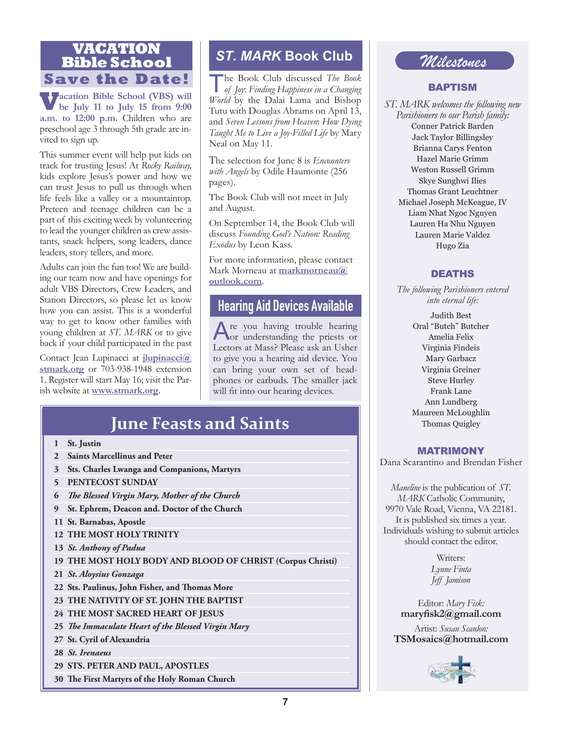# **VACATION** ST. MARK Book Club<br> **Bible School Save the Date!**

**Vacation Bible School (VBS) will be July 11 to July 15 from 9:00 a.m. to 12:00 p.m.** Children who are preschool age 3 through 5th grade are invited to sign up.

This summer event will help put kids on track for trusting Jesus! At *Rocky Railway,*  kids explore Jesus's power and how we can trust Jesus to pull us through when life feels like a valley or a mountaintop. Preteen and teenage children can be a part of this exciting week by volunteering to lead the younger children as crew assistants, snack helpers, song leaders, dance leaders, story tellers, and more.

Adults can join the fun too! We are building our team now and have openings for adult VBS Directors, Crew Leaders, and Station Directors, so please let us know how you can assist. This is a wonderful way to get to know other families with young children at *ST. MARK* or to give back if your child participated in the past

Contact Jean Lupinacci at **[jlupinacci@](mailto:jlupinacci%40stmark.org?subject=) [stmark.org](mailto:jlupinacci%40stmark.org?subject=)** or 703-938-1948 extension 1. Register will start May 16; visit the Parish website at **<www.stmark.org>**.

The Book Club discussed *The Book of Joy*: *Finding Happiness in a Changing World* by the Dalai Lama and Bishop Tutu with Douglas Abrams on April 13, and *Seven Lessons from Heaven*: *How Dying Taught Me to Live a Joy-Filled Life* by Mary Neal on May 11.

The selection for June 8 is *Encounters with Angels* by Odile Haumonte (256 pages).

The Book Club will not meet in July and August.

On September 14, the Book Club will discuss *Founding God's Nation: Reading Exodus* by Leon Kass.

For more information, please contact Mark Morneau at **[markmorneau@](mailto:markmorneau%40outlook.com?subject=) [outlook.com](mailto:markmorneau%40outlook.com?subject=)**.

## **Hearing Aid Devices Available**

Are you having trouble hearing or understanding the priests or Lectors at Mass? Please ask an Usher to give you a hearing aid device. You can bring your own set of headphones or earbuds. The smaller jack will fit into our hearing devices.

# **June Feasts and Saints**

- **1 St. Justin**
- **2 Saints Marcellinus and Peter**
- **3 Sts. Charles Lwanga and Companions, Martyrs**
- **5 PENTECOST SUNDAY**
- **6** *The Blessed Virgin Mary, Mother of the Church*
- **9 St. Ephrem, Deacon and. Doctor of the Church**
- **11 St. Barnabas, Apostle**
- **12 THE MOST HOLY TRINITY**
- **13** *St. Anthony of Padua*
- **19 THE MOST HOLY BODY AND BLOOD OF CHRIST (Corpus Christi)**
- **21** *St. Aloysius Gonzaga*
- **22 Sts. Paulinus, John Fisher, and Thomas More**
- **23 THE NATIVITY OF ST. JOHN THE BAPTIST**
- **24 THE MOST SACRED HEART OF JESUS**
- **25** *The Immaculate Heart of the Blessed Virgin Mary*
- **27 St. Cyril of Alexandria**
- **28** *St. Irenaeus*
- **29 STS. PETER AND PAUL, APOSTLES**
- **30 The First Martyrs of the Holy Roman Church**

# *Milestones*

#### BAPTISM

*ST. MARK welcomes the following new Parishioners to our Parish family:* Conner Patrick Barden Jack Taylor Billingsley Brianna Carys Fenton Hazel Marie Grimm Weston Russell Grimm Skye Sunghwi Ilies Thomas Grant Leuchtner Michael Joseph McKeague, IV Liam Nhat Ngoc Nguyen Lauren Ha Nhu Nguyen Lauren Marie Valdez Hugo Zia

#### DEATHS

*The following Parishioners entered into eternal life:* 

> Judith Best Oral "Butch" Butcher Amelia Felix Virginia Findeis Mary Garbacz Virginia Greiner Steve Hurley Frank Lane Ann Lundberg Maureen McLoughlin Thomas Quigley

#### MATRIMONY

Dana Scarantino and Brendan Fisher

*Maneline* is the publication of *ST. MARK* Catholic Community, 9970 Vale Road, Vienna, VA 22181. It is published six times a year. Individuals wishing to submit articles should contact the editor.

> Writers: *Lynne Finta Jeff Jamison*

Editor: *Mary Fisk:* **maryfisk2@gmail.com**

Artist: *Susan Scanlon:*  **TSMosaics@hotmail.com**